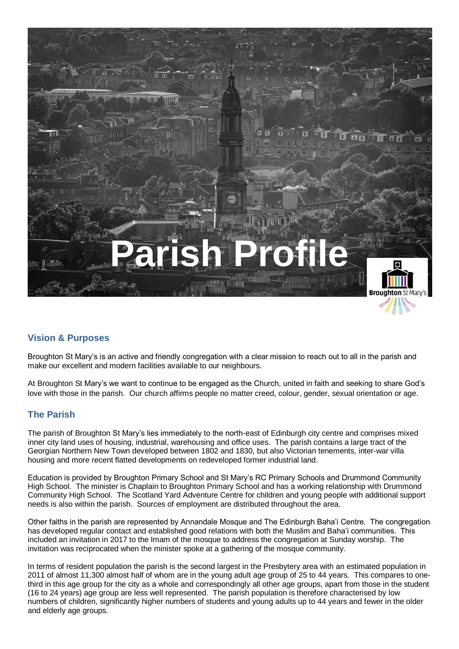

## **Vision & Purposes**

Broughton St Mary's is an active and friendly congregation with a clear mission to reach out to all in the parish and make our excellent and modern facilities available to our neighbours.

At Broughton St Mary's we want to continue to be engaged as the Church, united in faith and seeking to share God's love with those in the parish. Our church affirms people no matter creed, colour, gender, sexual orientation or age.

#### **The Parish**

The parish of Broughton St Mary's lies immediately to the north-east of Edinburgh city centre and comprises mixed inner city land uses of housing, industrial, warehousing and office uses. The parish contains a large tract of the Georgian Northern New Town developed between 1802 and 1830, but also Victorian tenements, inter-war villa housing and more recent flatted developments on redeveloped former industrial land.

Education is provided by Broughton Primary School and St Mary's RC Primary Schools and Drummond Community High School. The minister is Chaplain to Broughton Primary School and has a working relationship with Drummond Community High School. The Scotland Yard Adventure Centre for children and young people with additional support needs is also within the parish. Sources of employment are distributed throughout the area.

Other faiths in the parish are represented by Annandale Mosque and The Edinburgh Baha'i Centre. The congregation has developed regular contact and established good relations with both the Muslim and Baha'i communities. This included an invitation in 2017 to the Imam of the mosque to address the congregation at Sunday worship. The invitation was reciprocated when the minister spoke at a gathering of the mosque community.

In terms of resident population the parish is the second largest in the Presbytery area with an estimated population in 2011 of almost 11,300 almost half of whom are in the young adult age group of 25 to 44 years. This compares to onethird in this age group for the city as a whole and correspondingly all other age groups, apart from those in the student (16 to 24 years) age group are less well represented. The parish population is therefore characterised by low numbers of children, significantly higher numbers of students and young adults up to 44 years and fewer in the older and elderly age groups.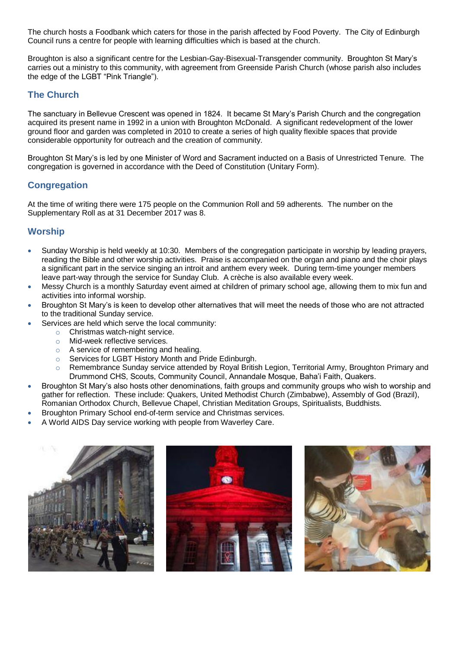The church hosts a Foodbank which caters for those in the parish affected by Food Poverty. The City of Edinburgh Council runs a centre for people with learning difficulties which is based at the church.

Broughton is also a significant centre for the Lesbian-Gay-Bisexual-Transgender community. Broughton St Mary's carries out a ministry to this community, with agreement from Greenside Parish Church (whose parish also includes the edge of the LGBT "Pink Triangle").

### **The Church**

The sanctuary in Bellevue Crescent was opened in 1824. It became St Mary's Parish Church and the congregation acquired its present name in 1992 in a union with Broughton McDonald. A significant redevelopment of the lower ground floor and garden was completed in 2010 to create a series of high quality flexible spaces that provide considerable opportunity for outreach and the creation of community.

Broughton St Mary's is led by one Minister of Word and Sacrament inducted on a Basis of Unrestricted Tenure. The congregation is governed in accordance with the Deed of Constitution (Unitary Form).

## **Congregation**

At the time of writing there were 175 people on the Communion Roll and 59 adherents. The number on the Supplementary Roll as at 31 December 2017 was 8.

### **Worship**

- Sunday Worship is held weekly at 10:30. Members of the congregation participate in worship by leading prayers, reading the Bible and other worship activities. Praise is accompanied on the organ and piano and the choir plays a significant part in the service singing an introit and anthem every week. During term-time younger members leave part-way through the service for Sunday Club. A crèche is also available every week.
- Messy Church is a monthly Saturday event aimed at children of primary school age, allowing them to mix fun and activities into informal worship.
- Broughton St Mary's is keen to develop other alternatives that will meet the needs of those who are not attracted to the traditional Sunday service.
- Services are held which serve the local community:
	- o Christmas watch-night service.
	- o Mid-week reflective services.
	- o A service of remembering and healing.
	- o Services for LGBT History Month and Pride Edinburgh.
	- Remembrance Sunday service attended by Royal British Legion, Territorial Army, Broughton Primary and Drummond CHS, Scouts, Community Council, Annandale Mosque, Baha'i Faith, Quakers.
- Broughton St Mary's also hosts other denominations, faith groups and community groups who wish to worship and gather for reflection. These include: Quakers, United Methodist Church (Zimbabwe), Assembly of God (Brazil), Romanian Orthodox Church, Bellevue Chapel, Christian Meditation Groups, Spiritualists, Buddhists.
- Broughton Primary School end-of-term service and Christmas services.
- A World AIDS Day service working with people from Waverley Care.

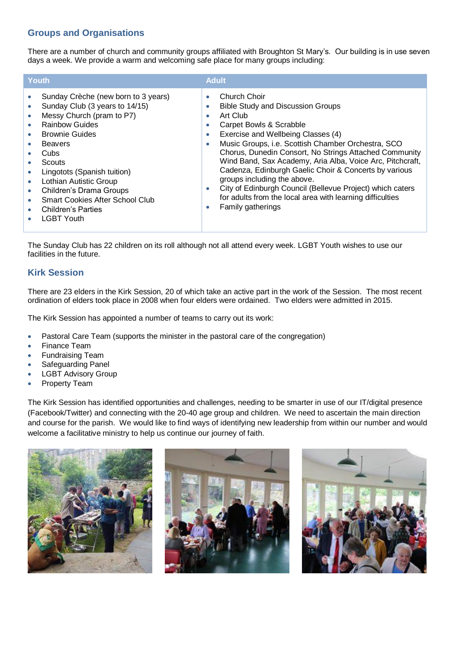## **Groups and Organisations**

There are a number of church and community groups affiliated with Broughton St Mary's. Our building is in use seven days a week. We provide a warm and welcoming safe place for many groups including:

| <b>Youth</b>                                                                                                                                                                                                                                                                                                                                                                                                  | <b>Adult</b>                                                                                                                                                                                                                                                                                                                                                                                                                                                                                                                                                                                                                              |
|---------------------------------------------------------------------------------------------------------------------------------------------------------------------------------------------------------------------------------------------------------------------------------------------------------------------------------------------------------------------------------------------------------------|-------------------------------------------------------------------------------------------------------------------------------------------------------------------------------------------------------------------------------------------------------------------------------------------------------------------------------------------------------------------------------------------------------------------------------------------------------------------------------------------------------------------------------------------------------------------------------------------------------------------------------------------|
| Sunday Crèche (new born to 3 years)<br>$\bullet$<br>Sunday Club (3 years to 14/15)<br>Messy Church (pram to P7)<br>$\bullet$<br><b>Rainbow Guides</b><br><b>Brownie Guides</b><br><b>Beavers</b><br>Cubs<br>Scouts<br>Lingotots (Spanish tuition)<br>Lothian Autistic Group<br>Children's Drama Groups<br>$\bullet$<br><b>Smart Cookies After School Club</b><br>۰<br>Children's Parties<br><b>LGBT Youth</b> | Church Choir<br>$\bullet$<br><b>Bible Study and Discussion Groups</b><br>$\bullet$<br>Art Club<br>$\bullet$<br>Carpet Bowls & Scrabble<br>۰<br>Exercise and Wellbeing Classes (4)<br>۰<br>Music Groups, i.e. Scottish Chamber Orchestra, SCO<br>$\bullet$<br>Chorus, Dunedin Consort, No Strings Attached Community<br>Wind Band, Sax Academy, Aria Alba, Voice Arc, Pitchcraft,<br>Cadenza, Edinburgh Gaelic Choir & Concerts by various<br>groups including the above.<br>City of Edinburgh Council (Bellevue Project) which caters<br>$\bullet$<br>for adults from the local area with learning difficulties<br>Family gatherings<br>۰ |

The Sunday Club has 22 children on its roll although not all attend every week. LGBT Youth wishes to use our facilities in the future.

## **Kirk Session**

There are 23 elders in the Kirk Session, 20 of which take an active part in the work of the Session. The most recent ordination of elders took place in 2008 when four elders were ordained. Two elders were admitted in 2015.

The Kirk Session has appointed a number of teams to carry out its work:

- Pastoral Care Team (supports the minister in the pastoral care of the congregation)
- Finance Team
- Fundraising Team
- Safeguarding Panel
- LGBT Advisory Group
- Property Team

The Kirk Session has identified opportunities and challenges, needing to be smarter in use of our IT/digital presence (Facebook/Twitter) and connecting with the 20-40 age group and children. We need to ascertain the main direction and course for the parish. We would like to find ways of identifying new leadership from within our number and would welcome a facilitative ministry to help us continue our journey of faith.